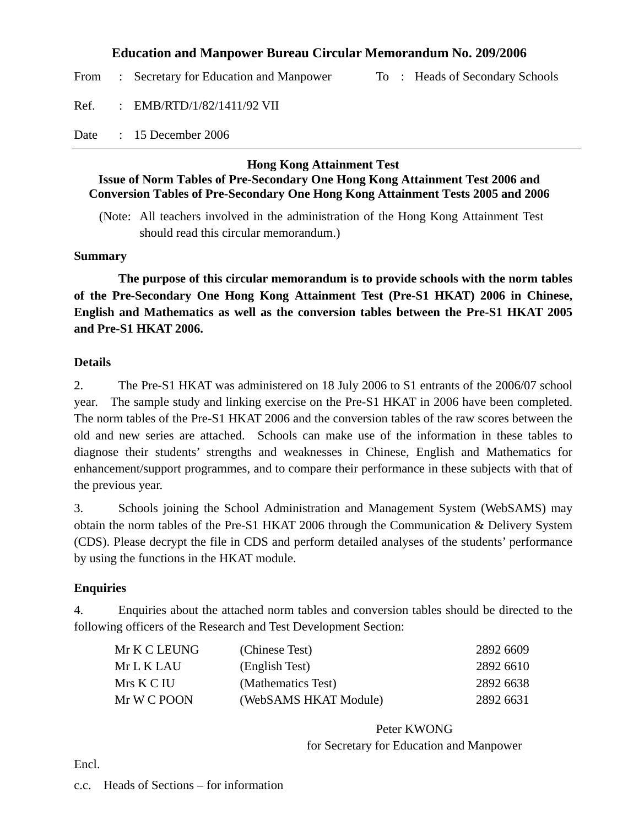### **Education and Manpower Bureau Circular Memorandum No. 209/2006**

From : Secretary for Education and Manpower To : Heads of Secondary Schools

Ref. : EMB/RTD/1/82/1411/92 VII

Date : 15 December 2006

#### **Hong Kong Attainment Test**

### **Issue of Norm Tables of Pre-Secondary One Hong Kong Attainment Test 2006 and Conversion Tables of Pre-Secondary One Hong Kong Attainment Tests 2005 and 2006**

(Note: All teachers involved in the administration of the Hong Kong Attainment Test should read this circular memorandum.)

#### **Summary**

 **The purpose of this circular memorandum is to provide schools with the norm tables of the Pre-Secondary One Hong Kong Attainment Test (Pre-S1 HKAT) 2006 in Chinese, English and Mathematics as well as the conversion tables between the Pre-S1 HKAT 2005 and Pre-S1 HKAT 2006.** 

### **Details**

2. The Pre-S1 HKAT was administered on 18 July 2006 to S1 entrants of the 2006/07 school year. The sample study and linking exercise on the Pre-S1 HKAT in 2006 have been completed. The norm tables of the Pre-S1 HKAT 2006 and the conversion tables of the raw scores between the old and new series are attached. Schools can make use of the information in these tables to diagnose their students' strengths and weaknesses in Chinese, English and Mathematics for enhancement/support programmes, and to compare their performance in these subjects with that of the previous year.

3. Schools joining the School Administration and Management System (WebSAMS) may obtain the norm tables of the Pre-S1 HKAT 2006 through the Communication & Delivery System (CDS). Please decrypt the file in CDS and perform detailed analyses of the students' performance by using the functions in the HKAT module.

### **Enquiries**

4. Enquiries about the attached norm tables and conversion tables should be directed to the following officers of the Research and Test Development Section:

| Mr K C LEUNG | (Chinese Test)        | 2892 6609 |
|--------------|-----------------------|-----------|
| Mr L K LAU-  | (English Test)        | 2892 6610 |
| Mrs K C IU   | (Mathematics Test)    | 2892 6638 |
| Mr W C POON  | (WebSAMS HKAT Module) | 2892 6631 |
|              |                       |           |

Peter KWONG for Secretary for Education and Manpower

Encl.

c.c. Heads of Sections – for information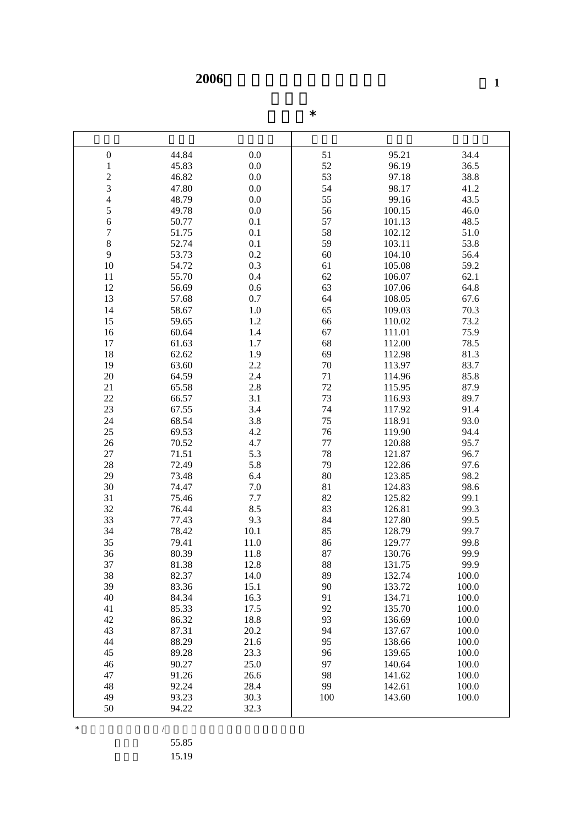**2006** 

|  | $\ast$ |
|--|--------|
|  |        |

| $\boldsymbol{0}$                           | 44.84 | 0.0     | 51      | 95.21  | 34.4  |
|--------------------------------------------|-------|---------|---------|--------|-------|
| $\mathbf{1}$                               | 45.83 | 0.0     | 52      | 96.19  | 36.5  |
|                                            | 46.82 | 0.0     | 53      | 97.18  | 38.8  |
|                                            | 47.80 | 0.0     | 54      | 98.17  | 41.2  |
| $\begin{array}{c} 2 \\ 3 \\ 4 \end{array}$ | 48.79 | 0.0     | 55      | 99.16  | 43.5  |
| 5                                          | 49.78 | 0.0     | 56      | 100.15 | 46.0  |
| $\overline{6}$                             | 50.77 | 0.1     | 57      | 101.13 | 48.5  |
|                                            |       | 0.1     | 58      |        |       |
| $\overline{7}$                             | 51.75 |         |         | 102.12 | 51.0  |
| 8                                          | 52.74 | 0.1     | 59      | 103.11 | 53.8  |
| 9                                          | 53.73 | 0.2     | 60      | 104.10 | 56.4  |
| 10                                         | 54.72 | 0.3     | 61      | 105.08 | 59.2  |
| 11                                         | 55.70 | 0.4     | 62      | 106.07 | 62.1  |
| 12                                         | 56.69 | 0.6     | 63      | 107.06 | 64.8  |
| 13                                         | 57.68 | 0.7     | 64      | 108.05 | 67.6  |
| 14                                         | 58.67 | 1.0     | 65      | 109.03 | 70.3  |
| 15                                         | 59.65 | 1.2     | 66      | 110.02 | 73.2  |
| 16                                         | 60.64 | 1.4     | 67      | 111.01 | 75.9  |
| 17                                         | 61.63 | 1.7     | 68      | 112.00 | 78.5  |
| 18                                         | 62.62 | 1.9     | 69      | 112.98 | 81.3  |
| 19                                         | 63.60 | 2.2     | 70      | 113.97 | 83.7  |
| 20                                         | 64.59 | 2.4     | 71      | 114.96 | 85.8  |
| 21                                         | 65.58 | 2.8     | $72\,$  | 115.95 | 87.9  |
| 22                                         | 66.57 | 3.1     | 73      | 116.93 | 89.7  |
| 23                                         | 67.55 | 3.4     | 74      | 117.92 | 91.4  |
| 24                                         | 68.54 | 3.8     | 75      | 118.91 | 93.0  |
| 25                                         | 69.53 | 4.2     | 76      | 119.90 | 94.4  |
| 26                                         | 70.52 | 4.7     | $77 \,$ | 120.88 | 95.7  |
| 27                                         | 71.51 | 5.3     | 78      | 121.87 | 96.7  |
| 28                                         | 72.49 | 5.8     | 79      | 122.86 | 97.6  |
| 29                                         | 73.48 | 6.4     | 80      | 123.85 | 98.2  |
| 30                                         | 74.47 | $7.0\,$ | 81      | 124.83 | 98.6  |
| 31                                         | 75.46 | 7.7     | 82      | 125.82 | 99.1  |
| 32                                         | 76.44 | 8.5     | 83      | 126.81 | 99.3  |
| 33                                         | 77.43 | 9.3     | 84      | 127.80 | 99.5  |
| 34                                         | 78.42 | 10.1    | 85      | 128.79 | 99.7  |
| 35                                         | 79.41 | 11.0    | 86      | 129.77 | 99.8  |
| 36                                         | 80.39 | 11.8    | 87      | 130.76 | 99.9  |
| 37                                         | 81.38 | 12.8    | 88      | 131.75 | 99.9  |
| 38                                         | 82.37 | 14.0    | 89      | 132.74 | 100.0 |
| 39                                         | 83.36 | 15.1    | 90      | 133.72 | 100.0 |
| 40                                         | 84.34 | 16.3    | 91      | 134.71 | 100.0 |
| 41                                         | 85.33 | 17.5    | 92      | 135.70 | 100.0 |
| 42                                         | 86.32 | 18.8    | 93      | 136.69 | 100.0 |
| 43                                         | 87.31 | 20.2    | 94      | 137.67 | 100.0 |
| 44                                         | 88.29 | 21.6    | 95      | 138.66 | 100.0 |
| 45                                         | 89.28 | 23.3    | 96      | 139.65 | 100.0 |
| 46                                         | 90.27 | 25.0    | 97      | 140.64 | 100.0 |
| 47                                         | 91.26 | 26.6    | 98      | 141.62 | 100.0 |
| 48                                         | 92.24 | 28.4    | 99      | 142.61 | 100.0 |
| 49                                         | 93.23 | 30.3    | 100     | 143.60 | 100.0 |
| 50                                         | 94.22 | 32.3    |         |        |       |

 $*$ 

55.85

標準差 15.19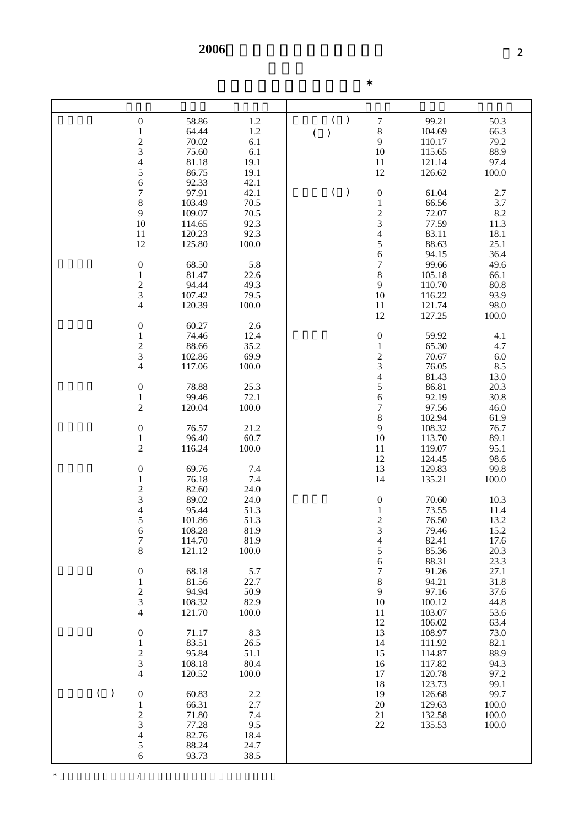| $\boldsymbol{0}$                                | 58.86  | 1.2   | $\lambda$           | $\sqrt{ }$                                      | 99.21  | 50.3    |
|-------------------------------------------------|--------|-------|---------------------|-------------------------------------------------|--------|---------|
| $\mathbf 1$                                     | 64.44  | 1.2   | $\big)$<br>$\left($ | $\,8\,$                                         | 104.69 | 66.3    |
|                                                 | 70.02  | 6.1   |                     | $\mathbf{9}$                                    | 110.17 | 79.2    |
| $\begin{array}{c} 2 \\ 3 \\ 4 \end{array}$      | 75.60  | 6.1   |                     | 10                                              | 115.65 | 88.9    |
|                                                 | 81.18  | 19.1  |                     | 11                                              | 121.14 | 97.4    |
| 5                                               | 86.75  | 19.1  |                     | 12                                              | 126.62 | 100.0   |
| 6                                               | 92.33  | 42.1  |                     |                                                 |        |         |
| $\overline{7}$                                  | 97.91  | 42.1  | $\big)$<br>$\left($ | $\boldsymbol{0}$                                | 61.04  | 2.7     |
| 8                                               | 103.49 | 70.5  |                     | $\mathbf{1}$                                    | 66.56  | 3.7     |
| 9                                               | 109.07 | 70.5  |                     |                                                 | 72.07  | $8.2\,$ |
| 10                                              | 114.65 | 92.3  |                     | $\frac{2}{3}$                                   | 77.59  | 11.3    |
| 11                                              | 120.23 | 92.3  |                     | $\overline{\mathcal{L}}$                        | 83.11  | 18.1    |
| 12                                              | 125.80 | 100.0 |                     | 5                                               | 88.63  | 25.1    |
|                                                 |        |       |                     | $\overline{6}$                                  | 94.15  | 36.4    |
| $\boldsymbol{0}$                                | 68.50  | 5.8   |                     | $\overline{7}$                                  | 99.66  | 49.6    |
| $\,1$                                           | 81.47  | 22.6  |                     | $\,8$                                           | 105.18 | 66.1    |
|                                                 | 94.44  | 49.3  |                     | 9                                               | 110.70 | 80.8    |
| $\frac{2}{3}$                                   | 107.42 | 79.5  |                     | $10\,$                                          | 116.22 | 93.9    |
| $\overline{\mathcal{L}}$                        | 120.39 | 100.0 |                     | 11                                              | 121.74 | 98.0    |
|                                                 |        |       |                     | 12                                              | 127.25 | 100.0   |
| $\boldsymbol{0}$                                | 60.27  | 2.6   |                     |                                                 |        |         |
| $\,1$                                           | 74.46  | 12.4  |                     | $\boldsymbol{0}$                                | 59.92  | 4.1     |
|                                                 | 88.66  | 35.2  |                     |                                                 | 65.30  | 4.7     |
|                                                 | 102.86 | 69.9  |                     |                                                 | 70.67  | $6.0\,$ |
| $\begin{array}{c} 2 \\ 3 \\ 4 \end{array}$      | 117.06 | 100.0 |                     | $\begin{array}{c} 1 \\ 2 \\ 3 \\ 4 \end{array}$ | 76.05  | 8.5     |
|                                                 |        |       |                     |                                                 | 81.43  | 13.0    |
|                                                 | 78.88  | 25.3  |                     |                                                 | 86.81  | 20.3    |
| $\boldsymbol{0}$                                |        | 72.1  |                     | 5                                               |        |         |
| $\mathbf{1}$<br>$\overline{c}$                  | 99.46  |       |                     | 6<br>$\overline{7}$                             | 92.19  | 30.8    |
|                                                 | 120.04 | 100.0 |                     |                                                 | 97.56  | 46.0    |
|                                                 |        |       |                     | 8                                               | 102.94 | 61.9    |
| $\boldsymbol{0}$                                | 76.57  | 21.2  |                     | $\mathbf{9}$                                    | 108.32 | 76.7    |
| $\mathbf{1}$                                    | 96.40  | 60.7  |                     | 10                                              | 113.70 | 89.1    |
| $\overline{c}$                                  | 116.24 | 100.0 |                     | 11                                              | 119.07 | 95.1    |
|                                                 |        |       |                     | 12                                              | 124.45 | 98.6    |
| $\boldsymbol{0}$                                | 69.76  | 7.4   |                     | 13                                              | 129.83 | 99.8    |
| $\mathbf 1$                                     | 76.18  | 7.4   |                     | 14                                              | 135.21 | 100.0   |
| $\begin{array}{c} 2 \\ 3 \\ 4 \\ 5 \end{array}$ | 82.60  | 24.0  |                     |                                                 |        |         |
|                                                 | 89.02  | 24.0  |                     | $\boldsymbol{0}$                                | 70.60  | 10.3    |
|                                                 | 95.44  | 51.3  |                     | $\mathbf{1}$                                    | 73.55  | 11.4    |
|                                                 | 101.86 | 51.3  |                     | $\frac{2}{3}$                                   | 76.50  | 13.2    |
| 6                                               | 108.28 | 81.9  |                     |                                                 | 79.46  | 15.2    |
| $\overline{7}$                                  | 114.70 | 81.9  |                     | $\overline{4}$                                  | 82.41  | 17.6    |
| 8                                               | 121.12 | 100.0 |                     | 5                                               | 85.36  | 20.3    |
|                                                 |        |       |                     | 6                                               | 88.31  | 23.3    |
| $\boldsymbol{0}$                                | 68.18  | 5.7   |                     | $\boldsymbol{7}$                                | 91.26  | 27.1    |
| $\mathbf 1$                                     | 81.56  | 22.7  |                     | $\,8$                                           | 94.21  | 31.8    |
| $\frac{2}{3}$                                   | 94.94  | 50.9  |                     | 9                                               | 97.16  | 37.6    |
|                                                 | 108.32 | 82.9  |                     | 10                                              | 100.12 | 44.8    |
| $\overline{4}$                                  | 121.70 | 100.0 |                     | 11                                              | 103.07 | 53.6    |
|                                                 |        |       |                     | 12                                              | 106.02 | 63.4    |
| $\boldsymbol{0}$                                | 71.17  | 8.3   |                     | 13                                              | 108.97 | 73.0    |
| $\,1$                                           | 83.51  | 26.5  |                     | 14                                              | 111.92 | 82.1    |
| $\frac{2}{3}$                                   | 95.84  | 51.1  |                     | 15                                              | 114.87 | 88.9    |
|                                                 | 108.18 | 80.4  |                     | 16                                              | 117.82 | 94.3    |
| $\overline{4}$                                  | 120.52 | 100.0 |                     | 17                                              | 120.78 | 97.2    |
|                                                 |        |       |                     | 18                                              | 123.73 | 99.1    |
| $\overline{(\ }$<br>$\, )$<br>$\boldsymbol{0}$  | 60.83  | 2.2   |                     | 19                                              | 126.68 | 99.7    |
| $\mathbf{1}$                                    | 66.31  | 2.7   |                     | $20\,$                                          | 129.63 | 100.0   |
| $\frac{2}{3}$                                   | 71.80  | 7.4   |                     | 21                                              | 132.58 | 100.0   |
|                                                 | 77.28  | 9.5   |                     | 22                                              | 135.53 | 100.0   |
| $\overline{\mathcal{L}}$                        | 82.76  | 18.4  |                     |                                                 |        |         |
| 5                                               | 88.24  | 24.7  |                     |                                                 |        |         |
| 6                                               | 93.73  | 38.5  |                     |                                                 |        |         |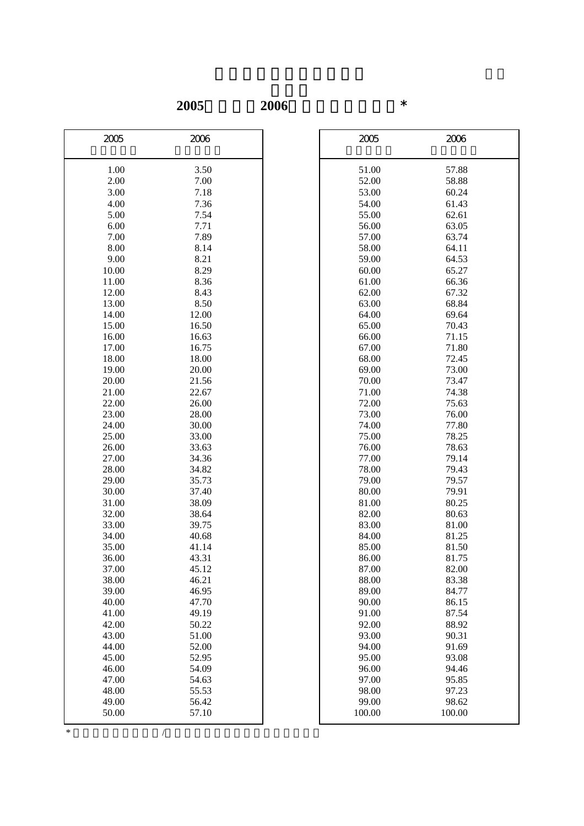**2005**年轉換至**2006**年的原始分換算表\*

| 2005  | 2006  | 2005   | 2006   |
|-------|-------|--------|--------|
|       |       |        |        |
| 1.00  | 3.50  | 51.00  | 57.88  |
| 2.00  | 7.00  | 52.00  | 58.88  |
| 3.00  | 7.18  | 53.00  | 60.24  |
| 4.00  | 7.36  | 54.00  | 61.43  |
| 5.00  | 7.54  | 55.00  | 62.61  |
| 6.00  | 7.71  | 56.00  | 63.05  |
| 7.00  | 7.89  | 57.00  | 63.74  |
| 8.00  | 8.14  | 58.00  | 64.11  |
| 9.00  | 8.21  | 59.00  | 64.53  |
| 10.00 | 8.29  | 60.00  | 65.27  |
| 11.00 | 8.36  | 61.00  | 66.36  |
| 12.00 | 8.43  | 62.00  | 67.32  |
| 13.00 | 8.50  | 63.00  | 68.84  |
| 14.00 | 12.00 | 64.00  | 69.64  |
| 15.00 | 16.50 | 65.00  | 70.43  |
| 16.00 | 16.63 | 66.00  | 71.15  |
| 17.00 | 16.75 | 67.00  | 71.80  |
| 18.00 | 18.00 | 68.00  | 72.45  |
| 19.00 | 20.00 | 69.00  | 73.00  |
| 20.00 | 21.56 | 70.00  | 73.47  |
| 21.00 | 22.67 | 71.00  | 74.38  |
| 22.00 | 26.00 | 72.00  | 75.63  |
| 23.00 | 28.00 | 73.00  | 76.00  |
| 24.00 | 30.00 | 74.00  | 77.80  |
| 25.00 | 33.00 | 75.00  | 78.25  |
| 26.00 | 33.63 | 76.00  | 78.63  |
| 27.00 | 34.36 | 77.00  | 79.14  |
| 28.00 | 34.82 | 78.00  | 79.43  |
| 29.00 | 35.73 | 79.00  | 79.57  |
| 30.00 | 37.40 | 80.00  | 79.91  |
| 31.00 | 38.09 | 81.00  | 80.25  |
| 32.00 | 38.64 | 82.00  | 80.63  |
| 33.00 | 39.75 | 83.00  | 81.00  |
| 34.00 | 40.68 | 84.00  | 81.25  |
| 35.00 | 41.14 | 85.00  | 81.50  |
| 36.00 | 43.31 | 86.00  | 81.75  |
| 37.00 | 45.12 | 87.00  | 82.00  |
| 38.00 | 46.21 | 88.00  | 83.38  |
| 39.00 | 46.95 | 89.00  | 84.77  |
| 40.00 | 47.70 | 90.00  | 86.15  |
| 41.00 | 49.19 | 91.00  | 87.54  |
| 42.00 | 50.22 | 92.00  | 88.92  |
| 43.00 | 51.00 | 93.00  | 90.31  |
| 44.00 | 52.00 | 94.00  | 91.69  |
| 45.00 | 52.95 | 95.00  | 93.08  |
| 46.00 | 54.09 | 96.00  | 94.46  |
| 47.00 | 54.63 | 97.00  | 95.85  |
| 48.00 | 55.53 | 98.00  | 97.23  |
| 49.00 | 56.42 | 99.00  | 98.62  |
| 50.00 | 57.10 | 100.00 | 100.00 |

| 2005           | 2006           |
|----------------|----------------|
| 51.00          | 57.88          |
| 52.00          | 58.88          |
| 53.00          | 60.24          |
| 54.00          | 61.43          |
| 55.00          | 62.61          |
| 56.00          | 63.05          |
| 57.00          | 63.74          |
| 58.00          | 64.11          |
| 59.00          | 64.53          |
| 60.00          | 65.27          |
| 61.00          | 66.36          |
| 62.00          | 67.32          |
| 63.00          | 68.84          |
| 64.00          | 69.64          |
| 65.00          | 70.43          |
| 66.00          | 71.15          |
| 67.00          | 71.80          |
| 68.00          | 72.45          |
| 69.00          | 73.00          |
| 70.00<br>71.00 | 73.47<br>74.38 |
| 72.00          | 75.63          |
| 73.00          | 76.00          |
| 74.00          | 77.80          |
| 75.00          | 78.25          |
| 76.00          | 78.63          |
| 77.00          | 79.14          |
| 78.00          | 79.43          |
| 79.00          | 79.57          |
| 80.00          | 79.91          |
| 81.00          | 80.25          |
| 82.00          | 80.63          |
| 83.00          | 81.00          |
| 84.00          | 81.25          |
| 85.00          | 81.50          |
| 86.00          | 81.75          |
| 87.00          | 82.00          |
| 88.00          | 83.38          |
| 89.00          | 84.77          |
| 90.00          | 86.15          |
| 91.00          | 87.54          |
| 92.00          | 88.92          |
| 93.00          | 90.31          |
| 94.00          | 91.69          |
| 95.00          | 93.08          |
| 96.00          | 94.46          |
| 97.00          | 95.85          |
| 98.00          | 97.23          |
| 99.00          | 98.62          |
| 100.00         | 100.00         |

 $*$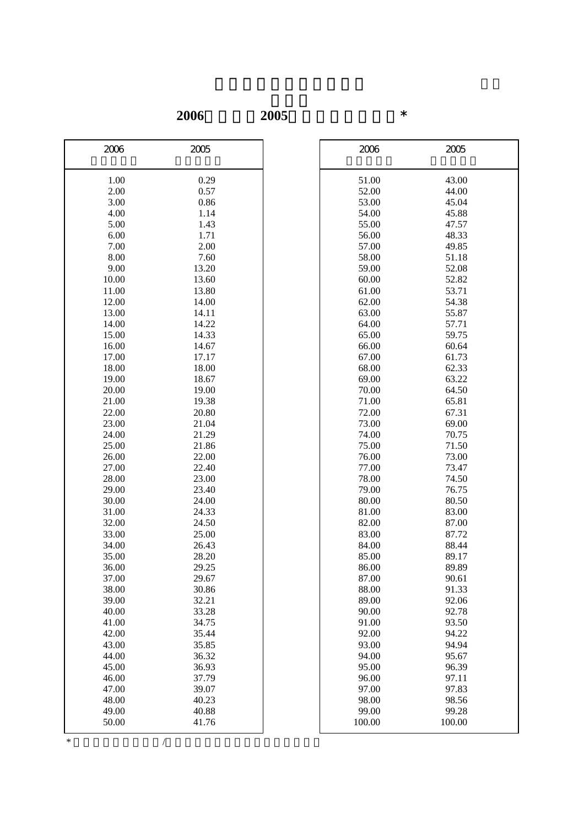**2006**年轉換至**2005**年的原始分換算表\*

| 2006  | 2005  | 2006   | 2005   |
|-------|-------|--------|--------|
| 1.00  | 0.29  | 51.00  | 43.00  |
| 2.00  | 0.57  | 52.00  | 44.00  |
| 3.00  | 0.86  | 53.00  | 45.04  |
| 4.00  | 1.14  | 54.00  | 45.88  |
| 5.00  | 1.43  | 55.00  | 47.57  |
| 6.00  | 1.71  | 56.00  | 48.33  |
| 7.00  | 2.00  | 57.00  | 49.85  |
| 8.00  | 7.60  | 58.00  | 51.18  |
| 9.00  | 13.20 | 59.00  | 52.08  |
| 10.00 | 13.60 | 60.00  | 52.82  |
| 11.00 | 13.80 | 61.00  | 53.71  |
| 12.00 | 14.00 | 62.00  | 54.38  |
| 13.00 | 14.11 | 63.00  | 55.87  |
| 14.00 | 14.22 | 64.00  | 57.71  |
| 15.00 | 14.33 | 65.00  | 59.75  |
| 16.00 | 14.67 | 66.00  | 60.64  |
| 17.00 | 17.17 | 67.00  | 61.73  |
| 18.00 | 18.00 | 68.00  | 62.33  |
| 19.00 | 18.67 | 69.00  | 63.22  |
| 20.00 | 19.00 | 70.00  | 64.50  |
| 21.00 | 19.38 | 71.00  | 65.81  |
| 22.00 | 20.80 | 72.00  | 67.31  |
| 23.00 | 21.04 | 73.00  | 69.00  |
| 24.00 | 21.29 | 74.00  | 70.75  |
| 25.00 | 21.86 | 75.00  | 71.50  |
| 26.00 | 22.00 | 76.00  | 73.00  |
| 27.00 | 22.40 | 77.00  | 73.47  |
| 28.00 | 23.00 | 78.00  | 74.50  |
| 29.00 | 23.40 | 79.00  | 76.75  |
| 30.00 | 24.00 | 80.00  | 80.50  |
| 31.00 | 24.33 | 81.00  | 83.00  |
| 32.00 | 24.50 | 82.00  | 87.00  |
| 33.00 | 25.00 | 83.00  | 87.72  |
| 34.00 | 26.43 | 84.00  | 88.44  |
| 35.00 | 28.20 | 85.00  | 89.17  |
| 36.00 | 29.25 | 86.00  | 89.89  |
| 37.00 | 29.67 | 87.00  | 90.61  |
| 38.00 | 30.86 | 88.00  | 91.33  |
| 39.00 | 32.21 | 89.00  | 92.06  |
| 40.00 | 33.28 | 90.00  | 92.78  |
| 41.00 | 34.75 | 91.00  | 93.50  |
| 42.00 | 35.44 | 92.00  | 94.22  |
| 43.00 | 35.85 | 93.00  | 94.94  |
| 44.00 | 36.32 | 94.00  | 95.67  |
| 45.00 | 36.93 | 95.00  | 96.39  |
| 46.00 | 37.79 | 96.00  | 97.11  |
| 47.00 | 39.07 | 97.00  | 97.83  |
| 48.00 | 40.23 | 98.00  | 98.56  |
| 49.00 | 40.88 | 99.00  | 99.28  |
| 50.00 | 41.76 | 100.00 | 100.00 |

| 2006   | 2005   |
|--------|--------|
| 51.00  | 43.00  |
| 52.00  | 44.00  |
| 53.00  | 45.04  |
| 54.00  | 45.88  |
| 55.00  | 47.57  |
| 56.00  | 48.33  |
| 57.00  | 49.85  |
| 58.00  | 51.18  |
| 59.00  | 52.08  |
| 60.00  | 52.82  |
| 61.00  | 53.71  |
| 62.00  | 54.38  |
| 63.00  | 55.87  |
| 64.00  | 57.71  |
| 65.00  | 59.75  |
| 66.00  | 60.64  |
| 67.00  | 61.73  |
| 68.00  | 62.33  |
| 69.00  | 63.22  |
| 70.00  | 64.50  |
| 71.00  | 65.81  |
| 72.00  | 67.31  |
| 73.00  | 69.00  |
| 74.00  | 70.75  |
| 75.00  | 71.50  |
| 76.00  | 73.00  |
| 77.00  | 73.47  |
| 78.00  | 74.50  |
| 79.00  | 76.75  |
| 80.00  | 80.50  |
| 81.00  | 83.00  |
| 82.00  | 87.00  |
| 83.00  | 87.72  |
| 84.00  | 88.44  |
| 85.00  | 89.17  |
| 86.00  | 89.89  |
| 87.00  | 90.61  |
| 88.00  | 91.33  |
| 89.00  | 92.06  |
| 90.00  | 92.78  |
| 91.00  | 93.50  |
| 92.00  | 94.22  |
| 93.00  | 94.94  |
| 94.00  | 95.67  |
|        |        |
| 95.00  | 96.39  |
| 96.00  | 97.11  |
| 97.00  | 97.83  |
| 98.00  | 98.56  |
| 99.00  | 99.28  |
| 100.00 | 100.00 |

 $*$  and  $*$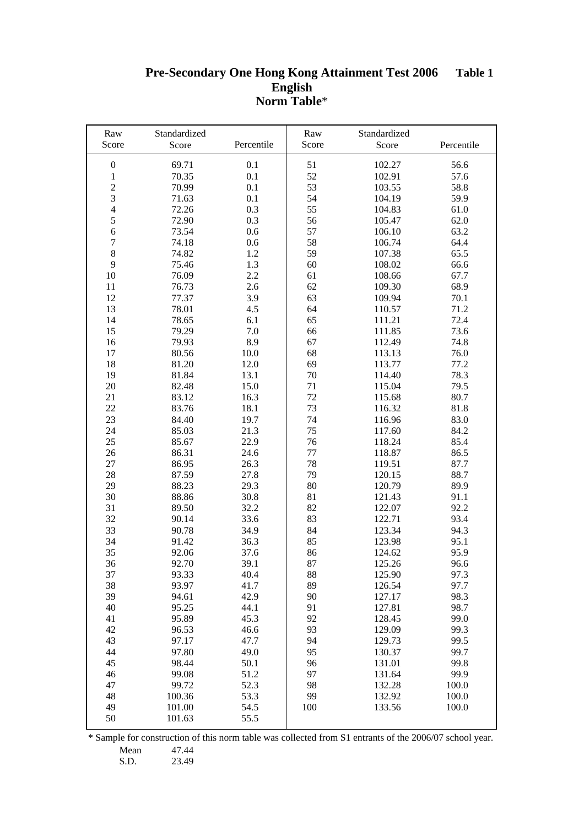#### **Pre-Secondary One Hong Kong Attainment Test 2006 English Norm Table**\* **Table 1 Table 1**

| Raw                     | Standardized   |              | Raw      | Standardized     |              |
|-------------------------|----------------|--------------|----------|------------------|--------------|
| Score                   | Score          | Percentile   | Score    | Score            | Percentile   |
| $\boldsymbol{0}$        | 69.71          | 0.1          | 51       | 102.27           | 56.6         |
| $\,1\,$                 | 70.35          | 0.1          | 52       | 102.91           | 57.6         |
| $\overline{\mathbf{c}}$ | 70.99          | 0.1          | 53       | 103.55           | 58.8         |
| 3                       | 71.63          | 0.1          | 54       | 104.19           | 59.9         |
| $\overline{4}$          | 72.26          | 0.3          | 55       | 104.83           | 61.0         |
| 5                       | 72.90          | 0.3          | 56       | 105.47           | 62.0         |
| 6                       | 73.54          | 0.6          | 57       | 106.10           | 63.2         |
| $\sqrt{ }$              | 74.18          | 0.6          | 58       | 106.74           | 64.4         |
| 8                       | 74.82          | 1.2          | 59       | 107.38           | 65.5         |
| 9                       | 75.46          | 1.3          | 60       | 108.02           | 66.6         |
| 10                      | 76.09          | 2.2          | 61       | 108.66           | 67.7         |
| 11                      | 76.73          | 2.6          | 62       | 109.30           | 68.9         |
| 12                      | 77.37          | 3.9          | 63       | 109.94           | 70.1         |
| 13                      | 78.01          | 4.5          | 64       | 110.57           | 71.2         |
| 14                      | 78.65          | 6.1          | 65       | 111.21           | 72.4         |
| 15                      | 79.29          | 7.0          | 66       | 111.85           | 73.6         |
| 16                      | 79.93          | 8.9          | 67       | 112.49           | 74.8         |
| 17                      | 80.56          | $10.0\,$     | 68       | 113.13           | 76.0         |
| 18                      | 81.20          | 12.0         | 69       | 113.77           | 77.2         |
| 19                      | 81.84          | 13.1         | 70       | 114.40           | 78.3         |
| 20                      | 82.48          | 15.0         | 71       | 115.04           | 79.5         |
| 21                      | 83.12          | 16.3         | 72       | 115.68           | 80.7         |
| 22                      | 83.76          | 18.1         | 73       | 116.32           | 81.8         |
| 23                      | 84.40          | 19.7         | 74       | 116.96           | 83.0         |
| 24                      | 85.03          | 21.3         | 75       | 117.60           | 84.2         |
| 25                      | 85.67          | 22.9         | 76       | 118.24           | 85.4         |
| 26                      | 86.31          | 24.6         | 77       | 118.87           | 86.5         |
| $27\,$                  | 86.95          | 26.3         | 78       | 119.51           | 87.7         |
| 28                      | 87.59          | 27.8         | 79       | 120.15           | 88.7         |
| 29                      | 88.23          | 29.3         | 80       | 120.79           | 89.9         |
| 30                      | 88.86          | 30.8         | 81       | 121.43           | 91.1         |
| 31                      | 89.50          | 32.2         | 82       | 122.07           | 92.2         |
| 32                      | 90.14          | 33.6         | 83       | 122.71           | 93.4         |
| 33                      | 90.78          | 34.9         | 84       | 123.34           | 94.3         |
| 34                      | 91.42          | 36.3         | 85       | 123.98           | 95.1         |
| 35                      | 92.06          | 37.6         | 86       | 124.62           | 95.9         |
| 36                      | 92.70          | 39.1         | 87       | 125.26           | 96.6         |
| 37<br>38                | 93.33          | 40.4         | 88<br>89 | 125.90           | 97.3<br>97.7 |
| 39                      | 93.97<br>94.61 | 41.7<br>42.9 | 90       | 126.54           | 98.3         |
| 40                      | 95.25          | 44.1         | 91       | 127.17<br>127.81 | 98.7         |
| 41                      | 95.89          | 45.3         | 92       | 128.45           | 99.0         |
| 42                      | 96.53          | 46.6         | 93       | 129.09           | 99.3         |
| 43                      | 97.17          | 47.7         | 94       | 129.73           | 99.5         |
| 44                      | 97.80          | 49.0         | 95       | 130.37           | 99.7         |
| 45                      | 98.44          | 50.1         | 96       | 131.01           | 99.8         |
| 46                      | 99.08          | 51.2         | 97       | 131.64           | 99.9         |
| 47                      | 99.72          | 52.3         | 98       | 132.28           | 100.0        |
| 48                      | 100.36         | 53.3         | 99       | 132.92           | 100.0        |
| 49                      | 101.00         | 54.5         | 100      | 133.56           | 100.0        |
| 50                      | 101.63         | 55.5         |          |                  |              |

\* Sample for construction of this norm table was collected from S1 entrants of the 2006/07 school year.

Mean 47.44<br>S.D. 23.49

23.49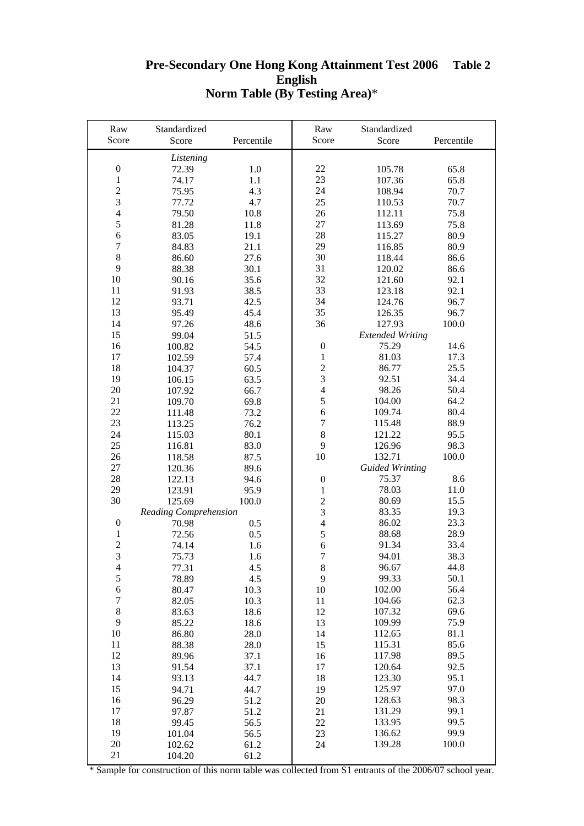## **Pre-Secondary One Hong Kong Attainment Test 2006 Table 2 English Norm Table (By Testing Area)**\*

| Raw              | Standardized          |            | Raw              | Standardized            |            |
|------------------|-----------------------|------------|------------------|-------------------------|------------|
| Score            | Score                 | Percentile | Score            | Score                   | Percentile |
|                  |                       |            |                  |                         |            |
| $\boldsymbol{0}$ | Listening<br>72.39    | 1.0        | 22               | 105.78                  | 65.8       |
| $\mathbf{1}$     | 74.17                 | 1.1        | 23               | 107.36                  | 65.8       |
| $\overline{c}$   | 75.95                 | 4.3        | 24               | 108.94                  | 70.7       |
| $\overline{3}$   | 77.72                 | 4.7        | 25               | 110.53                  | 70.7       |
| $\overline{4}$   | 79.50                 | 10.8       | 26               | 112.11                  | 75.8       |
| 5                | 81.28                 | 11.8       | 27               | 113.69                  | 75.8       |
| 6                | 83.05                 | 19.1       | 28               | 115.27                  | 80.9       |
| $\overline{7}$   | 84.83                 | 21.1       | 29               | 116.85                  | 80.9       |
| 8                | 86.60                 | 27.6       | 30               | 118.44                  | 86.6       |
| 9                | 88.38                 | 30.1       | 31               | 120.02                  | 86.6       |
| 10               | 90.16                 | 35.6       | 32               | 121.60                  | 92.1       |
| 11               | 91.93                 | 38.5       | 33               | 123.18                  | 92.1       |
| 12               | 93.71                 | 42.5       | 34               | 124.76                  | 96.7       |
| 13               | 95.49                 | 45.4       | 35               | 126.35                  | 96.7       |
| 14               | 97.26                 | 48.6       | 36               | 127.93                  | 100.0      |
| 15               | 99.04                 | 51.5       |                  | <b>Extended Writing</b> |            |
| 16               | 100.82                | 54.5       | $\boldsymbol{0}$ | 75.29                   | 14.6       |
| 17               | 102.59                | 57.4       | $\mathbf{1}$     | 81.03                   | 17.3       |
| 18               | 104.37                | 60.5       | $\overline{c}$   | 86.77                   | 25.5       |
| 19               | 106.15                | 63.5       | $\overline{3}$   | 92.51                   | 34.4       |
| 20               | 107.92                | 66.7       | $\overline{4}$   | 98.26                   | 50.4       |
| 21               | 109.70                | 69.8       | 5                | 104.00                  | 64.2       |
| 22               | 111.48                | 73.2       | 6                | 109.74                  | 80.4       |
| 23               | 113.25                | 76.2       | $\boldsymbol{7}$ | 115.48                  | 88.9       |
| 24               | 115.03                | 80.1       | $\,8\,$          | 121.22                  | 95.5       |
| 25               | 116.81                | 83.0       | 9                | 126.96                  | 98.3       |
| 26               | 118.58                | 87.5       | 10               | 132.71                  | 100.0      |
| 27               | 120.36                | 89.6       |                  | <b>Guided Wrinting</b>  |            |
| 28               | 122.13                | 94.6       | $\boldsymbol{0}$ | 75.37                   | 8.6        |
| 29               | 123.91                | 95.9       | $\mathbf{1}$     | 78.03                   | 11.0       |
| 30               | 125.69                | 100.0      | $\overline{c}$   | 80.69                   | 15.5       |
|                  | Reading Comprehension |            | 3                | 83.35                   | 19.3       |
| $\boldsymbol{0}$ | 70.98                 | 0.5        | $\overline{4}$   | 86.02                   | 23.3       |
| 1                | 72.56                 | 0.5        | 5                | 88.68                   | 28.9       |
| $\overline{2}$   | 74.14                 | 1.6        | $\overline{6}$   | 91.34                   | 33.4       |
| 3                | 75.73                 | 1.6        | $\tau$           | 94.01                   | 38.3       |
| $\overline{4}$   | 77.31                 | 4.5        | $\,8\,$          | 96.67                   | 44.8       |
| 5                | 78.89                 | 4.5        | 9                | 99.33                   | 50.1       |
| 6                | 80.47                 | 10.3       | 10               | 102.00                  | 56.4       |
| $\overline{7}$   | 82.05                 | 10.3       | 11               | 104.66                  | 62.3       |
| 8                | 83.63                 | 18.6       | 12               | 107.32                  | 69.6       |
| 9                | 85.22                 | 18.6       | 13               | 109.99                  | 75.9       |
| 10               | 86.80                 | 28.0       | 14               | 112.65                  | 81.1       |
| 11               | 88.38                 | 28.0       | 15               | 115.31                  | 85.6       |
| 12               | 89.96                 | 37.1       | 16               | 117.98                  | 89.5       |
| 13               | 91.54                 | 37.1       | 17               | 120.64                  | 92.5       |
| 14               | 93.13                 | 44.7       | 18               | 123.30                  | 95.1       |
| 15               | 94.71                 | 44.7       | 19               | 125.97                  | 97.0       |
| 16               | 96.29                 | 51.2       | 20               | 128.63                  | 98.3       |
| 17               | 97.87                 | 51.2       | 21               | 131.29                  | 99.1       |
| 18               | 99.45                 | 56.5       | 22               | 133.95                  | 99.5       |
| 19               | 101.04                | 56.5       | 23               | 136.62                  | 99.9       |
| 20               | 102.62                | 61.2       | 24               | 139.28                  | 100.0      |
| 21               | 104.20                | 61.2       |                  |                         |            |

\* Sample for construction of this norm table was collected from S1 entrants of the 2006/07 school year.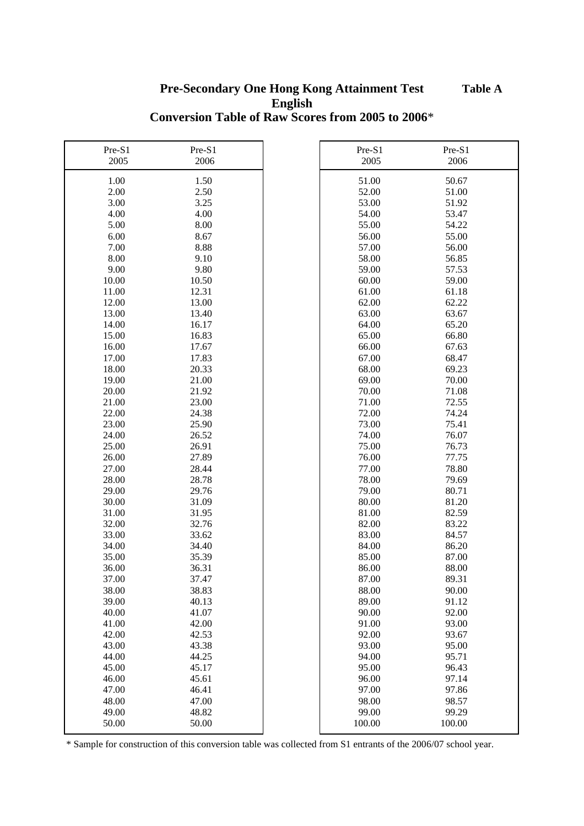## **English Conversion Table of Raw Scores from 2005 to 2006**\* **Pre-Secondary One Hong Kong Attainment Test Table A**

| Pre-S1<br>2005 | Pre-S1<br>2006 | Pre-S1<br>2005 | Pre-S1<br>2006 |
|----------------|----------------|----------------|----------------|
|                |                |                |                |
| 1.00           | 1.50           | 51.00          | 50.67          |
| 2.00           | 2.50           | 52.00          | 51.00          |
| 3.00           | 3.25           | 53.00          | 51.92          |
| 4.00           | 4.00           | 54.00          | 53.47          |
| 5.00           | 8.00           | 55.00          | 54.22          |
| 6.00           | 8.67           | 56.00          | 55.00          |
| 7.00           | 8.88           | 57.00          | 56.00          |
| 8.00           | 9.10           | 58.00          | 56.85          |
| 9.00           | 9.80           | 59.00          | 57.53          |
| 10.00          | 10.50          | 60.00          | 59.00          |
| 11.00          | 12.31          | 61.00          | 61.18          |
| 12.00          | 13.00          | 62.00          | 62.22          |
| 13.00          | 13.40          | 63.00          | 63.67          |
| 14.00          | 16.17          | 64.00          | 65.20          |
| 15.00          | 16.83          | 65.00          | 66.80          |
| 16.00          | 17.67          | 66.00          | 67.63          |
| 17.00          | 17.83          | 67.00          | 68.47          |
| 18.00          | 20.33          | 68.00          | 69.23          |
| 19.00          | 21.00          | 69.00          | 70.00          |
| 20.00          | 21.92          | 70.00          | 71.08          |
| 21.00          | 23.00          | 71.00          | 72.55          |
| 22.00          | 24.38          | 72.00          | 74.24          |
| 23.00          | 25.90          | 73.00          | 75.41          |
| 24.00          | 26.52          | 74.00          | 76.07          |
| 25.00          | 26.91          | 75.00          | 76.73          |
| 26.00          | 27.89          | 76.00          | 77.75          |
| 27.00          | 28.44          | 77.00          | 78.80          |
| 28.00          | 28.78          | 78.00          | 79.69          |
| 29.00          | 29.76          | 79.00          | 80.71          |
| 30.00          | 31.09          | 80.00          | 81.20          |
| 31.00          | 31.95          | 81.00          | 82.59          |
| 32.00          | 32.76          | 82.00          | 83.22          |
| 33.00          | 33.62          | 83.00          | 84.57          |
| 34.00          | 34.40          | 84.00          | 86.20          |
| 35.00          | 35.39          | 85.00          | 87.00          |
| 36.00          | 36.31          | 86.00          | 88.00          |
| 37.00          | 37.47          | 87.00          | 89.31          |
| 38.00          | 38.83          | 88.00          | 90.00          |
| 39.00          | 40.13          | 89.00          | 91.12          |
| 40.00          | 41.07          | 90.00          | 92.00          |
| 41.00          | 42.00          | 91.00          | 93.00          |
| 42.00          | 42.53          | 92.00          | 93.67          |
| 43.00          | 43.38          | 93.00          | 95.00          |
| 44.00          | 44.25          | 94.00          | 95.71          |
| 45.00          | 45.17          | 95.00          | 96.43          |
| 46.00          | 45.61          | 96.00          | 97.14          |
| 47.00          | 46.41          | 97.00          | 97.86          |
| 48.00          | 47.00          | 98.00          | 98.57          |
| 49.00          | 48.82          | 99.00          | 99.29          |
| 50.00          | 50.00          | 100.00         | 100.00         |

\* Sample for construction of this conversion table was collected from S1 entrants of the 2006/07 school year.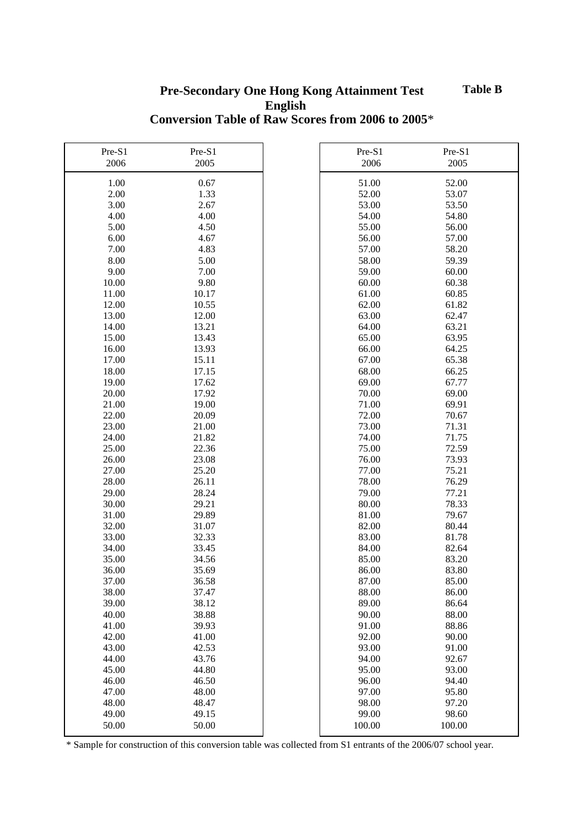### **English Conversion Table of Raw Scores from 2006 to 2005**\* **Pre-Secondary One Hong Kong Attainment Test Table B**

| Pre-S1<br>2006 | Pre-S1<br>2005 | Pre-S1<br>2006 | Pre-S1<br>2005 |
|----------------|----------------|----------------|----------------|
| 1.00           | 0.67           | 51.00          | 52.00          |
| 2.00           | 1.33           | 52.00          | 53.07          |
| 3.00           | 2.67           | 53.00          | 53.50          |
| 4.00           | 4.00           | 54.00          | 54.80          |
| 5.00           | 4.50           | 55.00          | 56.00          |
| 6.00           | 4.67           | 56.00          | 57.00          |
| 7.00           | 4.83           | 57.00          | 58.20          |
| 8.00           | 5.00           | 58.00          | 59.39          |
| 9.00           | 7.00           | 59.00          | 60.00          |
| 10.00          | 9.80           | 60.00          | 60.38          |
| 11.00          | 10.17          | 61.00          | 60.85          |
|                |                |                |                |
| 12.00          | 10.55          | 62.00          | 61.82          |
| 13.00          | 12.00          | 63.00          | 62.47          |
| 14.00          | 13.21          | 64.00          | 63.21          |
| 15.00          | 13.43          | 65.00          | 63.95          |
| 16.00          | 13.93          | 66.00          | 64.25          |
| 17.00          | 15.11          | 67.00          | 65.38          |
| 18.00          | 17.15          | 68.00          | 66.25          |
| 19.00          | 17.62          | 69.00          | 67.77          |
| 20.00          | 17.92          | 70.00          | 69.00          |
| 21.00          | 19.00          | 71.00          | 69.91          |
| 22.00          | 20.09          | 72.00          | 70.67          |
| 23.00          | 21.00          | 73.00          | 71.31          |
| 24.00          | 21.82          | 74.00          | 71.75          |
| 25.00          | 22.36          | 75.00          | 72.59          |
| 26.00          | 23.08          | 76.00          | 73.93          |
| 27.00          | 25.20          | 77.00          | 75.21          |
| 28.00          | 26.11          | 78.00          | 76.29          |
| 29.00          | 28.24          | 79.00          | 77.21          |
| 30.00          | 29.21          | 80.00          | 78.33          |
| 31.00          | 29.89          | 81.00          | 79.67          |
| 32.00          | 31.07          | 82.00          | 80.44          |
| 33.00          | 32.33          | 83.00          | 81.78          |
| 34.00          | 33.45          | 84.00          | 82.64          |
| 35.00          | 34.56          | 85.00          | 83.20          |
| 36.00          | 35.69          | 86.00          | 83.80          |
| 37.00          | 36.58          | 87.00          | 85.00          |
| 38.00          | 37.47          | 88.00          | 86.00          |
| 39.00          | 38.12          | 89.00          | 86.64          |
| 40.00          | 38.88          | 90.00          | 88.00          |
| 41.00          | 39.93          | 91.00          | 88.86          |
| 42.00          | 41.00          | 92.00          | 90.00          |
| 43.00          | 42.53          | 93.00          | 91.00          |
| 44.00          | 43.76          | 94.00          | 92.67          |
| 45.00          | 44.80          | 95.00          | 93.00          |
| 46.00          | 46.50          | 96.00          | 94.40          |
| 47.00          | 48.00          | 97.00          | 95.80          |
| 48.00          | 48.47          | 98.00          | 97.20          |
| 49.00          | 49.15          | 99.00          | 98.60          |
| 50.00          | 50.00          | 100.00         | 100.00         |

\* Sample for construction of this conversion table was collected from S1 entrants of the 2006/07 school year.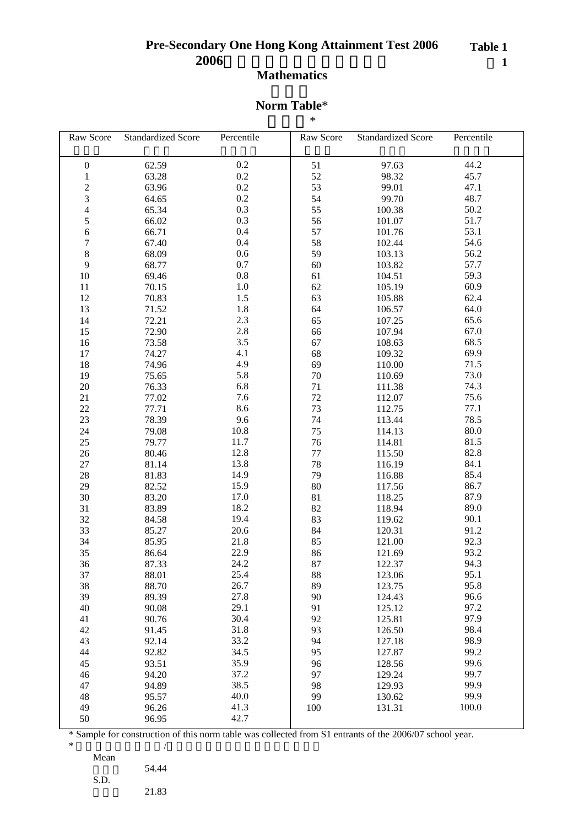### **Table 1** 表 **1**

# **Mathematics**

#### **Norm Table**\*

| $\ast$ |
|--------|
|        |

| Raw Score                | <b>Standardized Score</b> | Percentile     | Raw Score | <b>Standardized Score</b> | Percentile   |
|--------------------------|---------------------------|----------------|-----------|---------------------------|--------------|
|                          |                           |                |           |                           |              |
| $\boldsymbol{0}$         | 62.59                     | 0.2            | 51        | 97.63                     | 44.2         |
| $\mathbf{1}$             | 63.28                     | 0.2            | 52        | 98.32                     | 45.7         |
|                          | 63.96                     | $0.2\,$        | 53        | 99.01                     | 47.1         |
| $\frac{2}{3}$            | 64.65                     | $0.2\,$        | 54        | 99.70                     | 48.7         |
| $\overline{\mathcal{L}}$ | 65.34                     | 0.3            | 55        | 100.38                    | 50.2         |
| 5                        | 66.02                     | 0.3            | 56        | 101.07                    | 51.7         |
| 6                        | 66.71                     | 0.4            | 57        | 101.76                    | 53.1         |
| $\sqrt{ }$               | 67.40                     | 0.4            | 58        | 102.44                    | 54.6         |
| $\,$ 8 $\,$              | 68.09                     | $0.6\,$        | 59        | 103.13                    | 56.2         |
| 9                        | 68.77                     | $0.7\,$        | 60        | 103.82                    | 57.7         |
| 10                       | 69.46                     | $0.8\,$        | 61        | 104.51                    | 59.3         |
| 11                       | 70.15                     | $1.0\,$        | 62        | 105.19                    | 60.9         |
| 12                       | 70.83                     | $1.5$          | 63        | 105.88                    | 62.4         |
| 13                       | 71.52                     | 1.8            | 64        | 106.57                    | 64.0         |
|                          |                           | 2.3            |           |                           | 65.6         |
| 14                       | 72.21                     |                | 65        | 107.25                    |              |
| 15                       | 72.90                     | $2.8\,$<br>3.5 | 66        | 107.94                    | 67.0<br>68.5 |
| 16                       | 73.58                     |                | 67        | 108.63                    |              |
| 17                       | 74.27                     | 4.1            | 68        | 109.32                    | 69.9         |
| 18                       | 74.96                     | 4.9            | 69        | 110.00                    | 71.5         |
| 19                       | 75.65                     | 5.8            | $70\,$    | 110.69                    | 73.0         |
| 20                       | 76.33                     | 6.8            | 71        | 111.38                    | 74.3         |
| 21                       | 77.02                     | 7.6            | 72        | 112.07                    | 75.6         |
| 22                       | 77.71                     | 8.6            | 73        | 112.75                    | 77.1         |
| 23                       | 78.39                     | 9.6            | 74        | 113.44                    | 78.5         |
| 24                       | 79.08                     | 10.8           | 75        | 114.13                    | 80.0         |
| $25\,$                   | 79.77                     | 11.7           | 76        | 114.81                    | 81.5         |
| 26                       | 80.46                     | 12.8           | 77        | 115.50                    | 82.8         |
| $27\,$                   | 81.14                     | 13.8           | 78        | 116.19                    | 84.1         |
| 28                       | 81.83                     | 14.9           | 79        | 116.88                    | 85.4         |
| 29                       | 82.52                     | 15.9           | $80\,$    | 117.56                    | 86.7         |
| 30                       | 83.20                     | 17.0           | 81        | 118.25                    | 87.9         |
| 31                       | 83.89                     | 18.2           | 82        | 118.94                    | 89.0         |
| 32                       | 84.58                     | 19.4           | 83        | 119.62                    | 90.1         |
| 33                       | 85.27                     | 20.6           | 84        | 120.31                    | 91.2         |
| 34                       | 85.95                     | 21.8           | 85        | 121.00                    | 92.3         |
| 35                       | 86.64                     | 22.9           | 86        | 121.69                    | 93.2         |
| 36                       | 87.33                     | 24.2           | 87        | 122.37                    | 94.3         |
| 37                       | 88.01                     | 25.4           | 88        | 123.06                    | 95.1         |
| 38                       | 88.70                     | 26.7           | 89        | 123.75                    | 95.8         |
| 39                       | 89.39                     | 27.8           | 90        | 124.43                    | 96.6         |
| 40                       | 90.08                     | 29.1           | 91        | 125.12                    | 97.2         |
| 41                       | 90.76                     | 30.4           | 92        | 125.81                    | 97.9         |
| 42                       | 91.45                     | 31.8           | 93        | 126.50                    | 98.4         |
| 43                       | 92.14                     | 33.2           | 94        | 127.18                    | 98.9         |
| 44                       | 92.82                     | 34.5           | 95        | 127.87                    | 99.2         |
| 45                       | 93.51                     | 35.9           | 96        | 128.56                    | 99.6         |
| 46                       | 94.20                     | 37.2           | 97        | 129.24                    | 99.7         |
| 47                       | 94.89                     | 38.5           | 98        | 129.93                    | 99.9         |
| 48                       | 95.57                     | 40.0           | 99        | 130.62                    | 99.9         |
| 49                       | 96.26                     | 41.3           | 100       | 131.31                    | 100.0        |
| 50                       | 96.95                     | 42.7           |           |                           |              |

\* Sample for construction of this norm table was collected from S1 entrants of the 2006/07 school year.

S.D.

54.44

|  | ຼ<br>- | ٠ |  |
|--|--------|---|--|
|  |        |   |  |
|  |        |   |  |
|  |        |   |  |
|  |        |   |  |

21.83

 $*$ Mean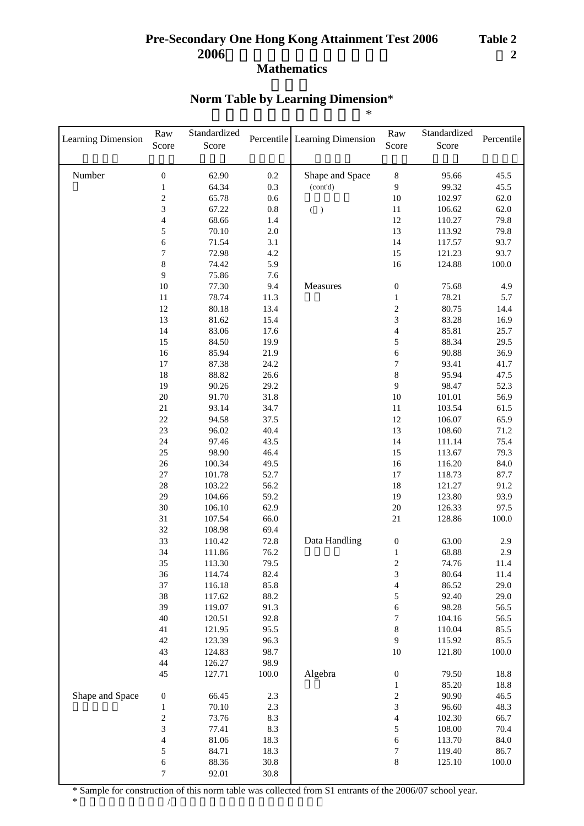# **Norm Table by Learning Dimension**\*

|  | $*$ |  |
|--|-----|--|
|  |     |  |

| Learning Dimension | $\operatorname{Raw}$<br>Score | Standardized<br>Score |              | Percentile Learning Dimension | Raw<br>Score                     | Standardized<br>Score | Percentile   |
|--------------------|-------------------------------|-----------------------|--------------|-------------------------------|----------------------------------|-----------------------|--------------|
| Number             | $\boldsymbol{0}$              | 62.90                 | 0.2          | Shape and Space               | $\,$ 8 $\,$                      | 95.66                 | 45.5         |
|                    | $\mathbf{1}$                  | 64.34                 | 0.3          | (cont'd)                      | 9                                | 99.32                 | 45.5         |
|                    | $\sqrt{2}$                    | 65.78                 | $0.6\,$      |                               | 10                               | 102.97                | 62.0         |
|                    | 3                             | 67.22                 | $0.8\,$      | $($ $)$                       | 11                               | 106.62                | 62.0         |
|                    | $\overline{\mathcal{L}}$      | 68.66                 | 1.4          |                               | 12                               | 110.27                | 79.8         |
|                    | 5                             | 70.10                 | $2.0\,$      |                               | 13                               | 113.92                | 79.8         |
|                    | 6                             | 71.54                 | 3.1          |                               | 14                               | 117.57                | 93.7         |
|                    | $\overline{7}$                | 72.98                 | $4.2\,$      |                               | 15                               | 121.23                | 93.7         |
|                    | $\,8\,$                       | 74.42                 | 5.9          |                               | 16                               | 124.88                | 100.0        |
|                    | 9                             | 75.86                 | 7.6          |                               |                                  |                       |              |
|                    | $10\,$                        | 77.30                 | 9.4          | Measures                      | $\boldsymbol{0}$                 | 75.68                 | 4.9          |
|                    | $11\,$                        | 78.74                 | 11.3         |                               | $\mathbf{1}$                     | 78.21                 | 5.7          |
|                    | 12                            | 80.18                 | 13.4         |                               | $\sqrt{2}$                       | 80.75                 | 14.4         |
|                    | 13                            | 81.62                 | 15.4         |                               | 3                                | 83.28                 | 16.9         |
|                    | 14                            | 83.06                 | 17.6         |                               | $\overline{\mathcal{L}}$         | 85.81                 | 25.7         |
|                    | 15                            | 84.50                 | 19.9         |                               | 5                                | 88.34                 | 29.5         |
|                    | 16<br>17                      | 85.94<br>87.38        | 21.9<br>24.2 |                               | 6<br>7                           | 90.88<br>93.41        | 36.9         |
|                    | 18                            | 88.82                 | 26.6         |                               | 8                                | 95.94                 | 41.7<br>47.5 |
|                    | 19                            | 90.26                 | 29.2         |                               | 9                                | 98.47                 | 52.3         |
|                    | 20                            | 91.70                 | 31.8         |                               | 10                               | 101.01                | 56.9         |
|                    | 21                            | 93.14                 | 34.7         |                               | 11                               | 103.54                | 61.5         |
|                    | 22                            | 94.58                 | 37.5         |                               | 12                               | 106.07                | 65.9         |
|                    | 23                            | 96.02                 | 40.4         |                               | 13                               | 108.60                | 71.2         |
|                    | 24                            | 97.46                 | 43.5         |                               | 14                               | 111.14                | 75.4         |
|                    | 25                            | 98.90                 | 46.4         |                               | 15                               | 113.67                | 79.3         |
|                    | 26                            | 100.34                | 49.5         |                               | 16                               | 116.20                | 84.0         |
|                    | $27\,$                        | 101.78                | 52.7         |                               | 17                               | 118.73                | 87.7         |
|                    | 28                            | 103.22                | 56.2         |                               | 18                               | 121.27                | 91.2         |
|                    | 29                            | 104.66                | 59.2         |                               | 19                               | 123.80                | 93.9         |
|                    | $30\,$                        | 106.10                | 62.9         |                               | $20\,$                           | 126.33                | 97.5         |
|                    | 31                            | 107.54                | 66.0         |                               | $21\,$                           | 128.86                | 100.0        |
|                    | 32                            | 108.98                | 69.4         |                               |                                  |                       |              |
|                    | 33                            | 110.42                | 72.8         | Data Handling                 | $\boldsymbol{0}$                 | 63.00                 | 2.9          |
|                    | 34                            | 111.86                | 76.2         |                               | 1                                | 68.88                 | 2.9          |
|                    | 35                            | 113.30                | 79.5         |                               | $\overline{2}$                   | 74.76                 | 11.4         |
|                    | 36                            | 114.74                | 82.4         |                               | 3                                | 80.64                 | 11.4         |
|                    | 37                            | 116.18                | 85.8         |                               | $\overline{4}$                   | 86.52                 | 29.0         |
|                    | 38                            | 117.62                | 88.2         |                               | 5                                | 92.40                 | 29.0         |
|                    | 39                            | 119.07                | 91.3         |                               | 6                                | 98.28                 | 56.5         |
|                    | 40                            | 120.51                | 92.8         |                               | $\boldsymbol{7}$                 | 104.16                | 56.5         |
|                    | 41                            | 121.95                | 95.5         |                               | $\,$ 8 $\,$                      | 110.04                | 85.5         |
|                    | 42                            | 123.39                | 96.3         |                               | 9                                | 115.92                | 85.5         |
|                    | 43                            | 124.83                | 98.7<br>98.9 |                               | 10                               | 121.80                | 100.0        |
|                    | 44<br>45                      | 126.27                |              | Algebra                       |                                  |                       |              |
|                    |                               | 127.71                | 100.0        |                               | $\boldsymbol{0}$                 | 79.50<br>85.20        | 18.8<br>18.8 |
| Shape and Space    | $\boldsymbol{0}$              | 66.45                 | 2.3          |                               | $\,1$<br>$\overline{\mathbf{c}}$ | 90.90                 | 46.5         |
|                    | $\mathbf{1}$                  | 70.10                 | $2.3\,$      |                               | 3                                | 96.60                 | 48.3         |
|                    | $\boldsymbol{2}$              | 73.76                 | 8.3          |                               | $\overline{\mathcal{L}}$         | 102.30                | 66.7         |
|                    | 3                             | 77.41                 | 8.3          |                               | 5                                | 108.00                | 70.4         |
|                    | 4                             | 81.06                 | 18.3         |                               | 6                                | 113.70                | 84.0         |
|                    | 5                             | 84.71                 | 18.3         |                               | $\boldsymbol{7}$                 | 119.40                | 86.7         |
|                    | 6                             | 88.36                 | 30.8         |                               | $\,8\,$                          | 125.10                | 100.0        |
|                    | 7                             | 92.01                 | 30.8         |                               |                                  |                       |              |

\* Sample for construction of this norm table was collected from S1 entrants of the 2006/07 school year.

 $*$ 

ı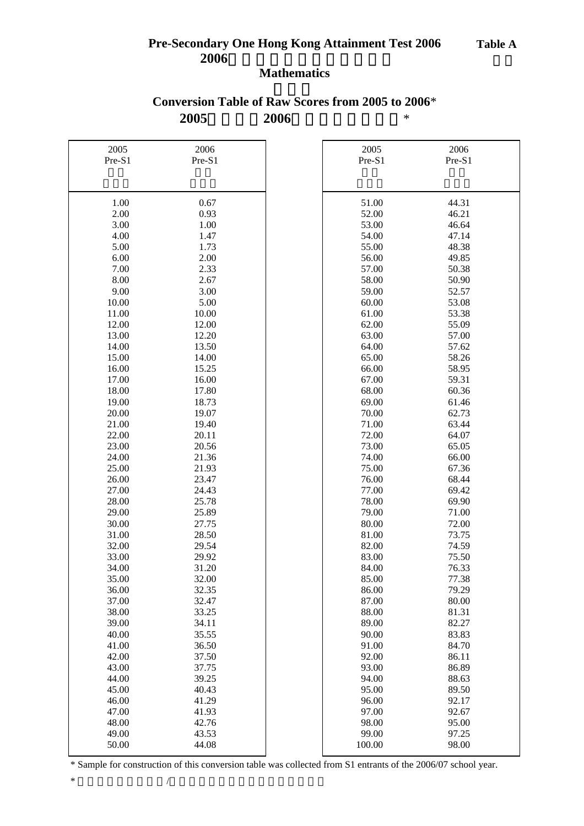### **2005 2006** \* **Conversion Table of Raw Scores from 2005 to 2006**\*

| 2005<br>2006<br>2005<br>2006<br>Pre-S1<br>Pre-S1<br>Pre-S1<br>Pre-S1<br>1.00<br>0.67<br>51.00<br>44.31<br>2.00<br>0.93<br>52.00<br>46.21<br>3.00<br>1.00<br>53.00<br>46.64<br>4.00<br>1.47<br>54.00<br>47.14<br>5.00<br>1.73<br>55.00<br>48.38<br>6.00<br>49.85<br>2.00<br>56.00<br>7.00<br>2.33<br>50.38<br>57.00<br>8.00<br>2.67<br>58.00<br>50.90<br>9.00<br>3.00<br>59.00<br>52.57<br>10.00<br>5.00<br>53.08<br>60.00<br>10.00<br>61.00<br>53.38<br>11.00<br>62.00<br>55.09<br>12.00<br>12.00<br>13.00<br>12.20<br>63.00<br>57.00<br>13.50<br>57.62<br>14.00<br>64.00<br>58.26<br>15.00<br>14.00<br>65.00<br>16.00<br>15.25<br>66.00<br>58.95<br>17.00<br>16.00<br>67.00<br>59.31<br>18.00<br>17.80<br>68.00<br>60.36<br>61.46<br>18.73<br>69.00<br>19.00<br>62.73<br>20.00<br>19.07<br>70.00<br>63.44<br>21.00<br>19.40<br>71.00<br>20.11<br>64.07<br>22.00<br>72.00<br>65.05<br>23.00<br>20.56<br>73.00<br>24.00<br>21.36<br>66.00<br>74.00<br>25.00<br>75.00<br>67.36<br>21.93<br>26.00<br>23.47<br>76.00<br>68.44<br>27.00<br>77.00<br>24.43<br>69.42<br>28.00<br>25.78<br>78.00<br>69.90<br>29.00<br>71.00<br>25.89<br>79.00<br>80.00<br>72.00<br>30.00<br>27.75<br>73.75<br>31.00<br>28.50<br>81.00<br>82.00<br>74.59<br>32.00<br>29.54<br>33.00<br>29.92<br>83.00<br>75.50<br>31.20<br>84.00<br>76.33<br>34.00<br>85.00<br>77.38<br>35.00<br>32.00<br>79.29<br>36.00<br>32.35<br>86.00<br>37.00<br>80.00<br>32.47<br>87.00<br>38.00<br>88.00<br>81.31<br>33.25<br>82.27<br>39.00<br>34.11<br>89.00<br>40.00<br>35.55<br>90.00<br>83.83<br>91.00<br>84.70<br>41.00<br>36.50<br>86.11<br>42.00<br>37.50<br>92.00<br>37.75<br>93.00<br>86.89<br>43.00<br>88.63<br>44.00<br>39.25<br>94.00<br>89.50<br>45.00<br>40.43<br>95.00<br>92.17<br>46.00<br>41.29<br>96.00<br>92.67<br>47.00<br>41.93<br>97.00<br>48.00<br>42.76<br>98.00<br>95.00<br>43.53<br>99.00<br>97.25<br>49.00<br>50.00<br>44.08<br>100.00<br>98.00 |  |  |  |
|----------------------------------------------------------------------------------------------------------------------------------------------------------------------------------------------------------------------------------------------------------------------------------------------------------------------------------------------------------------------------------------------------------------------------------------------------------------------------------------------------------------------------------------------------------------------------------------------------------------------------------------------------------------------------------------------------------------------------------------------------------------------------------------------------------------------------------------------------------------------------------------------------------------------------------------------------------------------------------------------------------------------------------------------------------------------------------------------------------------------------------------------------------------------------------------------------------------------------------------------------------------------------------------------------------------------------------------------------------------------------------------------------------------------------------------------------------------------------------------------------------------------------------------------------------------------------------------------------------------------------------------------------------------------------------------------------------------------------------------------------------------------------------------------------------------------------------------------------------------------------------------------------------------------------|--|--|--|
|                                                                                                                                                                                                                                                                                                                                                                                                                                                                                                                                                                                                                                                                                                                                                                                                                                                                                                                                                                                                                                                                                                                                                                                                                                                                                                                                                                                                                                                                                                                                                                                                                                                                                                                                                                                                                                                                                                                            |  |  |  |
|                                                                                                                                                                                                                                                                                                                                                                                                                                                                                                                                                                                                                                                                                                                                                                                                                                                                                                                                                                                                                                                                                                                                                                                                                                                                                                                                                                                                                                                                                                                                                                                                                                                                                                                                                                                                                                                                                                                            |  |  |  |
|                                                                                                                                                                                                                                                                                                                                                                                                                                                                                                                                                                                                                                                                                                                                                                                                                                                                                                                                                                                                                                                                                                                                                                                                                                                                                                                                                                                                                                                                                                                                                                                                                                                                                                                                                                                                                                                                                                                            |  |  |  |
|                                                                                                                                                                                                                                                                                                                                                                                                                                                                                                                                                                                                                                                                                                                                                                                                                                                                                                                                                                                                                                                                                                                                                                                                                                                                                                                                                                                                                                                                                                                                                                                                                                                                                                                                                                                                                                                                                                                            |  |  |  |
|                                                                                                                                                                                                                                                                                                                                                                                                                                                                                                                                                                                                                                                                                                                                                                                                                                                                                                                                                                                                                                                                                                                                                                                                                                                                                                                                                                                                                                                                                                                                                                                                                                                                                                                                                                                                                                                                                                                            |  |  |  |
|                                                                                                                                                                                                                                                                                                                                                                                                                                                                                                                                                                                                                                                                                                                                                                                                                                                                                                                                                                                                                                                                                                                                                                                                                                                                                                                                                                                                                                                                                                                                                                                                                                                                                                                                                                                                                                                                                                                            |  |  |  |
|                                                                                                                                                                                                                                                                                                                                                                                                                                                                                                                                                                                                                                                                                                                                                                                                                                                                                                                                                                                                                                                                                                                                                                                                                                                                                                                                                                                                                                                                                                                                                                                                                                                                                                                                                                                                                                                                                                                            |  |  |  |
|                                                                                                                                                                                                                                                                                                                                                                                                                                                                                                                                                                                                                                                                                                                                                                                                                                                                                                                                                                                                                                                                                                                                                                                                                                                                                                                                                                                                                                                                                                                                                                                                                                                                                                                                                                                                                                                                                                                            |  |  |  |
|                                                                                                                                                                                                                                                                                                                                                                                                                                                                                                                                                                                                                                                                                                                                                                                                                                                                                                                                                                                                                                                                                                                                                                                                                                                                                                                                                                                                                                                                                                                                                                                                                                                                                                                                                                                                                                                                                                                            |  |  |  |
|                                                                                                                                                                                                                                                                                                                                                                                                                                                                                                                                                                                                                                                                                                                                                                                                                                                                                                                                                                                                                                                                                                                                                                                                                                                                                                                                                                                                                                                                                                                                                                                                                                                                                                                                                                                                                                                                                                                            |  |  |  |
|                                                                                                                                                                                                                                                                                                                                                                                                                                                                                                                                                                                                                                                                                                                                                                                                                                                                                                                                                                                                                                                                                                                                                                                                                                                                                                                                                                                                                                                                                                                                                                                                                                                                                                                                                                                                                                                                                                                            |  |  |  |
|                                                                                                                                                                                                                                                                                                                                                                                                                                                                                                                                                                                                                                                                                                                                                                                                                                                                                                                                                                                                                                                                                                                                                                                                                                                                                                                                                                                                                                                                                                                                                                                                                                                                                                                                                                                                                                                                                                                            |  |  |  |
|                                                                                                                                                                                                                                                                                                                                                                                                                                                                                                                                                                                                                                                                                                                                                                                                                                                                                                                                                                                                                                                                                                                                                                                                                                                                                                                                                                                                                                                                                                                                                                                                                                                                                                                                                                                                                                                                                                                            |  |  |  |
|                                                                                                                                                                                                                                                                                                                                                                                                                                                                                                                                                                                                                                                                                                                                                                                                                                                                                                                                                                                                                                                                                                                                                                                                                                                                                                                                                                                                                                                                                                                                                                                                                                                                                                                                                                                                                                                                                                                            |  |  |  |
|                                                                                                                                                                                                                                                                                                                                                                                                                                                                                                                                                                                                                                                                                                                                                                                                                                                                                                                                                                                                                                                                                                                                                                                                                                                                                                                                                                                                                                                                                                                                                                                                                                                                                                                                                                                                                                                                                                                            |  |  |  |
|                                                                                                                                                                                                                                                                                                                                                                                                                                                                                                                                                                                                                                                                                                                                                                                                                                                                                                                                                                                                                                                                                                                                                                                                                                                                                                                                                                                                                                                                                                                                                                                                                                                                                                                                                                                                                                                                                                                            |  |  |  |
|                                                                                                                                                                                                                                                                                                                                                                                                                                                                                                                                                                                                                                                                                                                                                                                                                                                                                                                                                                                                                                                                                                                                                                                                                                                                                                                                                                                                                                                                                                                                                                                                                                                                                                                                                                                                                                                                                                                            |  |  |  |
|                                                                                                                                                                                                                                                                                                                                                                                                                                                                                                                                                                                                                                                                                                                                                                                                                                                                                                                                                                                                                                                                                                                                                                                                                                                                                                                                                                                                                                                                                                                                                                                                                                                                                                                                                                                                                                                                                                                            |  |  |  |
|                                                                                                                                                                                                                                                                                                                                                                                                                                                                                                                                                                                                                                                                                                                                                                                                                                                                                                                                                                                                                                                                                                                                                                                                                                                                                                                                                                                                                                                                                                                                                                                                                                                                                                                                                                                                                                                                                                                            |  |  |  |
|                                                                                                                                                                                                                                                                                                                                                                                                                                                                                                                                                                                                                                                                                                                                                                                                                                                                                                                                                                                                                                                                                                                                                                                                                                                                                                                                                                                                                                                                                                                                                                                                                                                                                                                                                                                                                                                                                                                            |  |  |  |
|                                                                                                                                                                                                                                                                                                                                                                                                                                                                                                                                                                                                                                                                                                                                                                                                                                                                                                                                                                                                                                                                                                                                                                                                                                                                                                                                                                                                                                                                                                                                                                                                                                                                                                                                                                                                                                                                                                                            |  |  |  |
|                                                                                                                                                                                                                                                                                                                                                                                                                                                                                                                                                                                                                                                                                                                                                                                                                                                                                                                                                                                                                                                                                                                                                                                                                                                                                                                                                                                                                                                                                                                                                                                                                                                                                                                                                                                                                                                                                                                            |  |  |  |
|                                                                                                                                                                                                                                                                                                                                                                                                                                                                                                                                                                                                                                                                                                                                                                                                                                                                                                                                                                                                                                                                                                                                                                                                                                                                                                                                                                                                                                                                                                                                                                                                                                                                                                                                                                                                                                                                                                                            |  |  |  |
|                                                                                                                                                                                                                                                                                                                                                                                                                                                                                                                                                                                                                                                                                                                                                                                                                                                                                                                                                                                                                                                                                                                                                                                                                                                                                                                                                                                                                                                                                                                                                                                                                                                                                                                                                                                                                                                                                                                            |  |  |  |
|                                                                                                                                                                                                                                                                                                                                                                                                                                                                                                                                                                                                                                                                                                                                                                                                                                                                                                                                                                                                                                                                                                                                                                                                                                                                                                                                                                                                                                                                                                                                                                                                                                                                                                                                                                                                                                                                                                                            |  |  |  |
|                                                                                                                                                                                                                                                                                                                                                                                                                                                                                                                                                                                                                                                                                                                                                                                                                                                                                                                                                                                                                                                                                                                                                                                                                                                                                                                                                                                                                                                                                                                                                                                                                                                                                                                                                                                                                                                                                                                            |  |  |  |
|                                                                                                                                                                                                                                                                                                                                                                                                                                                                                                                                                                                                                                                                                                                                                                                                                                                                                                                                                                                                                                                                                                                                                                                                                                                                                                                                                                                                                                                                                                                                                                                                                                                                                                                                                                                                                                                                                                                            |  |  |  |
|                                                                                                                                                                                                                                                                                                                                                                                                                                                                                                                                                                                                                                                                                                                                                                                                                                                                                                                                                                                                                                                                                                                                                                                                                                                                                                                                                                                                                                                                                                                                                                                                                                                                                                                                                                                                                                                                                                                            |  |  |  |
|                                                                                                                                                                                                                                                                                                                                                                                                                                                                                                                                                                                                                                                                                                                                                                                                                                                                                                                                                                                                                                                                                                                                                                                                                                                                                                                                                                                                                                                                                                                                                                                                                                                                                                                                                                                                                                                                                                                            |  |  |  |
|                                                                                                                                                                                                                                                                                                                                                                                                                                                                                                                                                                                                                                                                                                                                                                                                                                                                                                                                                                                                                                                                                                                                                                                                                                                                                                                                                                                                                                                                                                                                                                                                                                                                                                                                                                                                                                                                                                                            |  |  |  |
|                                                                                                                                                                                                                                                                                                                                                                                                                                                                                                                                                                                                                                                                                                                                                                                                                                                                                                                                                                                                                                                                                                                                                                                                                                                                                                                                                                                                                                                                                                                                                                                                                                                                                                                                                                                                                                                                                                                            |  |  |  |
|                                                                                                                                                                                                                                                                                                                                                                                                                                                                                                                                                                                                                                                                                                                                                                                                                                                                                                                                                                                                                                                                                                                                                                                                                                                                                                                                                                                                                                                                                                                                                                                                                                                                                                                                                                                                                                                                                                                            |  |  |  |
|                                                                                                                                                                                                                                                                                                                                                                                                                                                                                                                                                                                                                                                                                                                                                                                                                                                                                                                                                                                                                                                                                                                                                                                                                                                                                                                                                                                                                                                                                                                                                                                                                                                                                                                                                                                                                                                                                                                            |  |  |  |
|                                                                                                                                                                                                                                                                                                                                                                                                                                                                                                                                                                                                                                                                                                                                                                                                                                                                                                                                                                                                                                                                                                                                                                                                                                                                                                                                                                                                                                                                                                                                                                                                                                                                                                                                                                                                                                                                                                                            |  |  |  |
|                                                                                                                                                                                                                                                                                                                                                                                                                                                                                                                                                                                                                                                                                                                                                                                                                                                                                                                                                                                                                                                                                                                                                                                                                                                                                                                                                                                                                                                                                                                                                                                                                                                                                                                                                                                                                                                                                                                            |  |  |  |
|                                                                                                                                                                                                                                                                                                                                                                                                                                                                                                                                                                                                                                                                                                                                                                                                                                                                                                                                                                                                                                                                                                                                                                                                                                                                                                                                                                                                                                                                                                                                                                                                                                                                                                                                                                                                                                                                                                                            |  |  |  |
|                                                                                                                                                                                                                                                                                                                                                                                                                                                                                                                                                                                                                                                                                                                                                                                                                                                                                                                                                                                                                                                                                                                                                                                                                                                                                                                                                                                                                                                                                                                                                                                                                                                                                                                                                                                                                                                                                                                            |  |  |  |
|                                                                                                                                                                                                                                                                                                                                                                                                                                                                                                                                                                                                                                                                                                                                                                                                                                                                                                                                                                                                                                                                                                                                                                                                                                                                                                                                                                                                                                                                                                                                                                                                                                                                                                                                                                                                                                                                                                                            |  |  |  |
|                                                                                                                                                                                                                                                                                                                                                                                                                                                                                                                                                                                                                                                                                                                                                                                                                                                                                                                                                                                                                                                                                                                                                                                                                                                                                                                                                                                                                                                                                                                                                                                                                                                                                                                                                                                                                                                                                                                            |  |  |  |
|                                                                                                                                                                                                                                                                                                                                                                                                                                                                                                                                                                                                                                                                                                                                                                                                                                                                                                                                                                                                                                                                                                                                                                                                                                                                                                                                                                                                                                                                                                                                                                                                                                                                                                                                                                                                                                                                                                                            |  |  |  |
|                                                                                                                                                                                                                                                                                                                                                                                                                                                                                                                                                                                                                                                                                                                                                                                                                                                                                                                                                                                                                                                                                                                                                                                                                                                                                                                                                                                                                                                                                                                                                                                                                                                                                                                                                                                                                                                                                                                            |  |  |  |
|                                                                                                                                                                                                                                                                                                                                                                                                                                                                                                                                                                                                                                                                                                                                                                                                                                                                                                                                                                                                                                                                                                                                                                                                                                                                                                                                                                                                                                                                                                                                                                                                                                                                                                                                                                                                                                                                                                                            |  |  |  |
|                                                                                                                                                                                                                                                                                                                                                                                                                                                                                                                                                                                                                                                                                                                                                                                                                                                                                                                                                                                                                                                                                                                                                                                                                                                                                                                                                                                                                                                                                                                                                                                                                                                                                                                                                                                                                                                                                                                            |  |  |  |
|                                                                                                                                                                                                                                                                                                                                                                                                                                                                                                                                                                                                                                                                                                                                                                                                                                                                                                                                                                                                                                                                                                                                                                                                                                                                                                                                                                                                                                                                                                                                                                                                                                                                                                                                                                                                                                                                                                                            |  |  |  |
|                                                                                                                                                                                                                                                                                                                                                                                                                                                                                                                                                                                                                                                                                                                                                                                                                                                                                                                                                                                                                                                                                                                                                                                                                                                                                                                                                                                                                                                                                                                                                                                                                                                                                                                                                                                                                                                                                                                            |  |  |  |
|                                                                                                                                                                                                                                                                                                                                                                                                                                                                                                                                                                                                                                                                                                                                                                                                                                                                                                                                                                                                                                                                                                                                                                                                                                                                                                                                                                                                                                                                                                                                                                                                                                                                                                                                                                                                                                                                                                                            |  |  |  |
|                                                                                                                                                                                                                                                                                                                                                                                                                                                                                                                                                                                                                                                                                                                                                                                                                                                                                                                                                                                                                                                                                                                                                                                                                                                                                                                                                                                                                                                                                                                                                                                                                                                                                                                                                                                                                                                                                                                            |  |  |  |
|                                                                                                                                                                                                                                                                                                                                                                                                                                                                                                                                                                                                                                                                                                                                                                                                                                                                                                                                                                                                                                                                                                                                                                                                                                                                                                                                                                                                                                                                                                                                                                                                                                                                                                                                                                                                                                                                                                                            |  |  |  |
|                                                                                                                                                                                                                                                                                                                                                                                                                                                                                                                                                                                                                                                                                                                                                                                                                                                                                                                                                                                                                                                                                                                                                                                                                                                                                                                                                                                                                                                                                                                                                                                                                                                                                                                                                                                                                                                                                                                            |  |  |  |
|                                                                                                                                                                                                                                                                                                                                                                                                                                                                                                                                                                                                                                                                                                                                                                                                                                                                                                                                                                                                                                                                                                                                                                                                                                                                                                                                                                                                                                                                                                                                                                                                                                                                                                                                                                                                                                                                                                                            |  |  |  |
|                                                                                                                                                                                                                                                                                                                                                                                                                                                                                                                                                                                                                                                                                                                                                                                                                                                                                                                                                                                                                                                                                                                                                                                                                                                                                                                                                                                                                                                                                                                                                                                                                                                                                                                                                                                                                                                                                                                            |  |  |  |
|                                                                                                                                                                                                                                                                                                                                                                                                                                                                                                                                                                                                                                                                                                                                                                                                                                                                                                                                                                                                                                                                                                                                                                                                                                                                                                                                                                                                                                                                                                                                                                                                                                                                                                                                                                                                                                                                                                                            |  |  |  |
|                                                                                                                                                                                                                                                                                                                                                                                                                                                                                                                                                                                                                                                                                                                                                                                                                                                                                                                                                                                                                                                                                                                                                                                                                                                                                                                                                                                                                                                                                                                                                                                                                                                                                                                                                                                                                                                                                                                            |  |  |  |
|                                                                                                                                                                                                                                                                                                                                                                                                                                                                                                                                                                                                                                                                                                                                                                                                                                                                                                                                                                                                                                                                                                                                                                                                                                                                                                                                                                                                                                                                                                                                                                                                                                                                                                                                                                                                                                                                                                                            |  |  |  |
|                                                                                                                                                                                                                                                                                                                                                                                                                                                                                                                                                                                                                                                                                                                                                                                                                                                                                                                                                                                                                                                                                                                                                                                                                                                                                                                                                                                                                                                                                                                                                                                                                                                                                                                                                                                                                                                                                                                            |  |  |  |
|                                                                                                                                                                                                                                                                                                                                                                                                                                                                                                                                                                                                                                                                                                                                                                                                                                                                                                                                                                                                                                                                                                                                                                                                                                                                                                                                                                                                                                                                                                                                                                                                                                                                                                                                                                                                                                                                                                                            |  |  |  |

\* Sample for construction of this conversion table was collected from S1 entrants of the 2006/07 school year.

 $*$  and  $*$